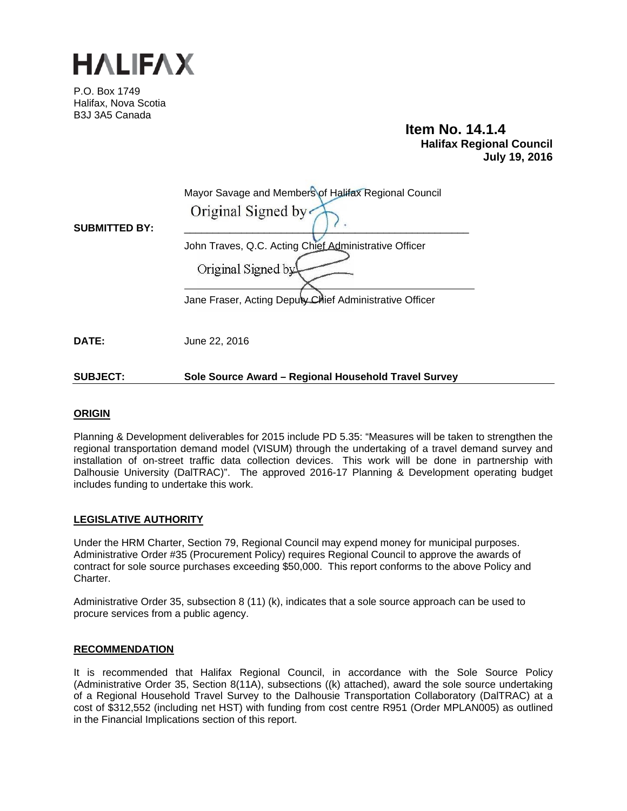

P.O. Box 1749 Halifax, Nova Scotia B3J 3A5 Canada

 **Item No. 14.1.4 Halifax Regional Council July 19, 2016** 

|                      | Mayor Savage and Members of Halifax Regional Council                        |
|----------------------|-----------------------------------------------------------------------------|
| <b>SUBMITTED BY:</b> | Original Signed by                                                          |
|                      | John Traves, Q.C. Acting Chief Administrative Officer<br>Original Signed by |
|                      | Jane Fraser, Acting Deputy Chief Administrative Officer                     |
| DATE:                | June 22, 2016                                                               |

# **SUBJECT: Sole Source Award – Regional Household Travel Survey**

# **ORIGIN**

Planning & Development deliverables for 2015 include PD 5.35: "Measures will be taken to strengthen the regional transportation demand model (VISUM) through the undertaking of a travel demand survey and installation of on-street traffic data collection devices. This work will be done in partnership with Dalhousie University (DalTRAC)". The approved 2016-17 Planning & Development operating budget includes funding to undertake this work.

## **LEGISLATIVE AUTHORITY**

Under the HRM Charter, Section 79, Regional Council may expend money for municipal purposes. Administrative Order #35 (Procurement Policy) requires Regional Council to approve the awards of contract for sole source purchases exceeding \$50,000. This report conforms to the above Policy and Charter.

Administrative Order 35, subsection 8 (11) (k), indicates that a sole source approach can be used to procure services from a public agency.

## **RECOMMENDATION**

It is recommended that Halifax Regional Council, in accordance with the Sole Source Policy (Administrative Order 35, Section 8(11A), subsections ((k) attached), award the sole source undertaking of a Regional Household Travel Survey to the Dalhousie Transportation Collaboratory (DalTRAC) at a cost of \$312,552 (including net HST) with funding from cost centre R951 (Order MPLAN005) as outlined in the Financial Implications section of this report.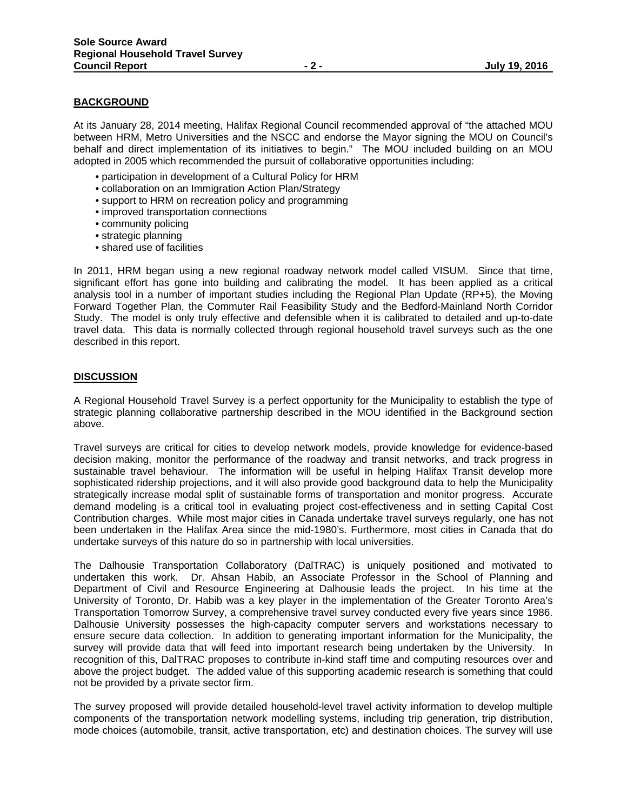#### **BACKGROUND**

At its January 28, 2014 meeting, Halifax Regional Council recommended approval of "the attached MOU between HRM, Metro Universities and the NSCC and endorse the Mayor signing the MOU on Council's behalf and direct implementation of its initiatives to begin." The MOU included building on an MOU adopted in 2005 which recommended the pursuit of collaborative opportunities including:

- participation in development of a Cultural Policy for HRM
- collaboration on an Immigration Action Plan/Strategy
- support to HRM on recreation policy and programming
- improved transportation connections
- community policing
- strategic planning
- shared use of facilities

In 2011, HRM began using a new regional roadway network model called VISUM. Since that time, significant effort has gone into building and calibrating the model. It has been applied as a critical analysis tool in a number of important studies including the Regional Plan Update (RP+5), the Moving Forward Together Plan, the Commuter Rail Feasibility Study and the Bedford-Mainland North Corridor Study. The model is only truly effective and defensible when it is calibrated to detailed and up-to-date travel data. This data is normally collected through regional household travel surveys such as the one described in this report.

### **DISCUSSION**

A Regional Household Travel Survey is a perfect opportunity for the Municipality to establish the type of strategic planning collaborative partnership described in the MOU identified in the Background section above.

Travel surveys are critical for cities to develop network models, provide knowledge for evidence-based decision making, monitor the performance of the roadway and transit networks, and track progress in sustainable travel behaviour. The information will be useful in helping Halifax Transit develop more sophisticated ridership projections, and it will also provide good background data to help the Municipality strategically increase modal split of sustainable forms of transportation and monitor progress. Accurate demand modeling is a critical tool in evaluating project cost-effectiveness and in setting Capital Cost Contribution charges. While most major cities in Canada undertake travel surveys regularly, one has not been undertaken in the Halifax Area since the mid-1980's. Furthermore, most cities in Canada that do undertake surveys of this nature do so in partnership with local universities.

The Dalhousie Transportation Collaboratory (DalTRAC) is uniquely positioned and motivated to undertaken this work. Dr. Ahsan Habib, an Associate Professor in the School of Planning and Department of Civil and Resource Engineering at Dalhousie leads the project. In his time at the University of Toronto, Dr. Habib was a key player in the implementation of the Greater Toronto Area's Transportation Tomorrow Survey, a comprehensive travel survey conducted every five years since 1986. Dalhousie University possesses the high-capacity computer servers and workstations necessary to ensure secure data collection. In addition to generating important information for the Municipality, the survey will provide data that will feed into important research being undertaken by the University. In recognition of this, DalTRAC proposes to contribute in-kind staff time and computing resources over and above the project budget. The added value of this supporting academic research is something that could not be provided by a private sector firm.

The survey proposed will provide detailed household-level travel activity information to develop multiple components of the transportation network modelling systems, including trip generation, trip distribution, mode choices (automobile, transit, active transportation, etc) and destination choices. The survey will use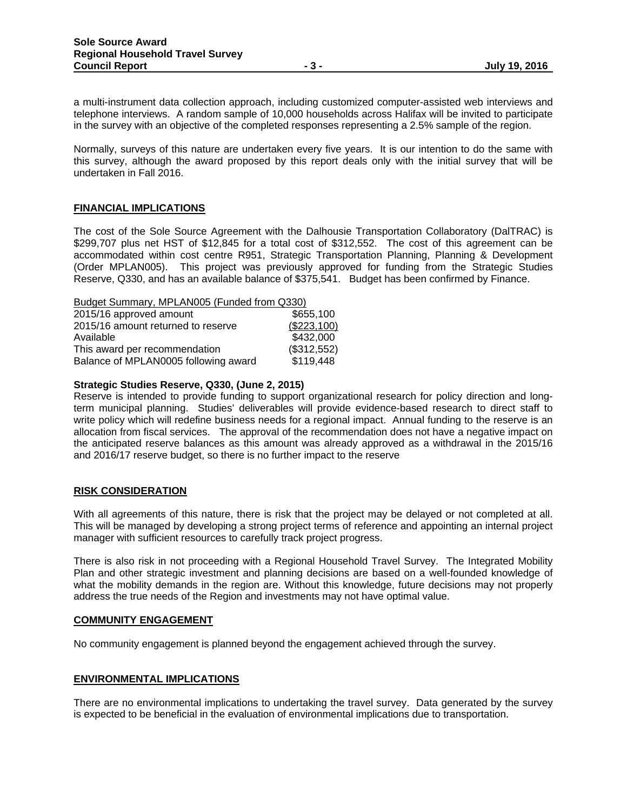a multi-instrument data collection approach, including customized computer-assisted web interviews and telephone interviews. A random sample of 10,000 households across Halifax will be invited to participate in the survey with an objective of the completed responses representing a 2.5% sample of the region.

Normally, surveys of this nature are undertaken every five years. It is our intention to do the same with this survey, although the award proposed by this report deals only with the initial survey that will be undertaken in Fall 2016.

## **FINANCIAL IMPLICATIONS**

The cost of the Sole Source Agreement with the Dalhousie Transportation Collaboratory (DalTRAC) is \$299,707 plus net HST of \$12,845 for a total cost of \$312,552. The cost of this agreement can be accommodated within cost centre R951, Strategic Transportation Planning, Planning & Development (Order MPLAN005). This project was previously approved for funding from the Strategic Studies Reserve, Q330, and has an available balance of \$375,541. Budget has been confirmed by Finance.

Budget Summary, MPLAN005 (Funded from Q330)

| 2015/16 approved amount              | \$655,100   |
|--------------------------------------|-------------|
| 2015/16 amount returned to reserve   | (\$223,100) |
| Available                            | \$432,000   |
| This award per recommendation        | (\$312,552) |
| Balance of MPLAN0005 following award | \$119,448   |

#### **Strategic Studies Reserve, Q330, (June 2, 2015)**

Reserve is intended to provide funding to support organizational research for policy direction and longterm municipal planning. Studies' deliverables will provide evidence-based research to direct staff to write policy which will redefine business needs for a regional impact. Annual funding to the reserve is an allocation from fiscal services. The approval of the recommendation does not have a negative impact on the anticipated reserve balances as this amount was already approved as a withdrawal in the 2015/16 and 2016/17 reserve budget, so there is no further impact to the reserve

## **RISK CONSIDERATION**

With all agreements of this nature, there is risk that the project may be delayed or not completed at all. This will be managed by developing a strong project terms of reference and appointing an internal project manager with sufficient resources to carefully track project progress.

There is also risk in not proceeding with a Regional Household Travel Survey. The Integrated Mobility Plan and other strategic investment and planning decisions are based on a well-founded knowledge of what the mobility demands in the region are. Without this knowledge, future decisions may not properly address the true needs of the Region and investments may not have optimal value.

## **COMMUNITY ENGAGEMENT**

No community engagement is planned beyond the engagement achieved through the survey.

## **ENVIRONMENTAL IMPLICATIONS**

There are no environmental implications to undertaking the travel survey. Data generated by the survey is expected to be beneficial in the evaluation of environmental implications due to transportation.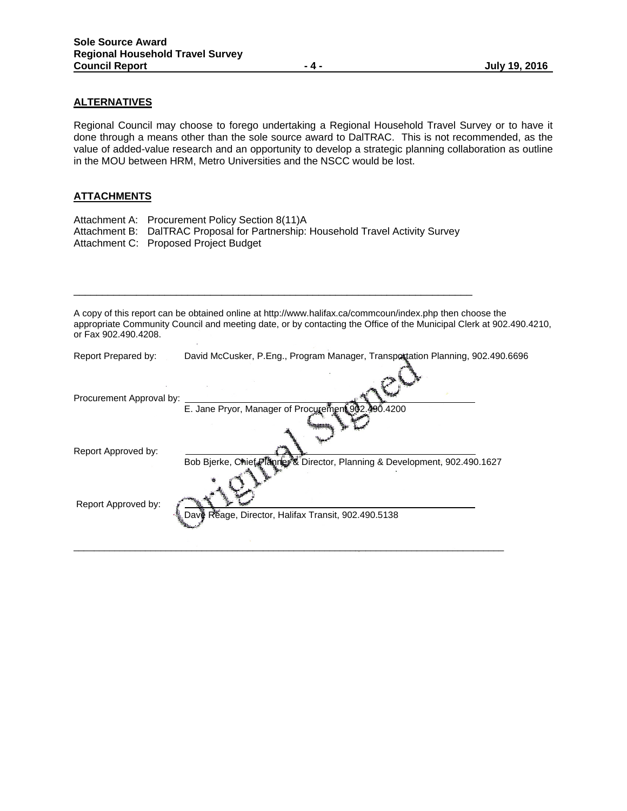# **ALTERNATIVES**

Regional Council may choose to forego undertaking a Regional Household Travel Survey or to have it done through a means other than the sole source award to DalTRAC. This is not recommended, as the value of added-value research and an opportunity to develop a strategic planning collaboration as outline in the MOU between HRM, Metro Universities and the NSCC would be lost.

## **ATTACHMENTS**

| Attachment A: Procurement Policy Section 8(11)A                                  |
|----------------------------------------------------------------------------------|
| Attachment B: DalTRAC Proposal for Partnership: Household Travel Activity Survey |
| Attachment C: Proposed Project Budget                                            |

\_\_\_\_\_\_\_\_\_\_\_\_\_\_\_\_\_\_\_\_\_\_\_\_\_\_\_\_\_\_\_\_\_\_\_\_\_\_\_\_\_\_\_\_\_\_\_\_\_\_\_\_\_\_\_\_\_\_\_\_\_\_\_\_\_\_\_\_\_\_

A copy of this report can be obtained online at http://www.halifax.ca/commcoun/index.php then choose the appropriate Community Council and meeting date, or by contacting the Office of the Municipal Clerk at 902.490.4210, or Fax 902.490.4208.

| Report Prepared by:      | David McCusker, P.Eng., Program Manager, Transportation Planning, 902.490.6696 |
|--------------------------|--------------------------------------------------------------------------------|
| Procurement Approval by: | E. Jane Pryor, Manager of Procurement 902.390.4200                             |
|                          |                                                                                |
| Report Approved by:      | Bob Bierke, Chief Planter & Director, Planning & Development, 902.490.1627     |
|                          |                                                                                |
| Report Approved by:      |                                                                                |
|                          | Dave Réage, Director, Halifax Transit, 902.490.5138                            |
|                          |                                                                                |
|                          |                                                                                |

 $\_$  ,  $\_$  ,  $\_$  ,  $\_$  ,  $\_$  ,  $\_$  ,  $\_$  ,  $\_$  ,  $\_$  ,  $\_$  ,  $\_$  ,  $\_$  ,  $\_$  ,  $\_$  ,  $\_$  ,  $\_$  ,  $\_$  ,  $\_$  ,  $\_$  ,  $\_$  ,  $\_$  ,  $\_$  ,  $\_$  ,  $\_$  ,  $\_$  ,  $\_$  ,  $\_$  ,  $\_$  ,  $\_$  ,  $\_$  ,  $\_$  ,  $\_$  ,  $\_$  ,  $\_$  ,  $\_$  ,  $\_$  ,  $\_$  ,